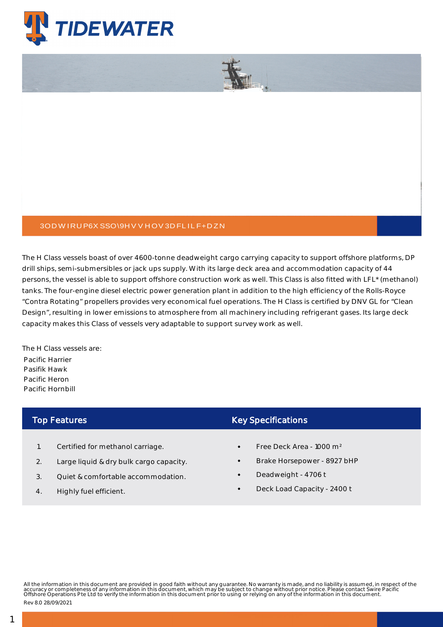



The H Class vessels boast of over 4600-tonne deadweight cargo carrying capacity to support offshore platforms, DP drill ships, semi-submersibles or jack ups supply. With its large deck area and accommodation capacity of 44 persons, the vessel is able to support offshore construction work as well. This Class is also fitted with LFL\* (methanol) tanks. The four-engine diesel electric power generation plant in addition to the high efficiency of the Rolls-Royce "Contra Rotating" propellers provides very economical fuel operations. The H Class is certified by DNV GL for "Clean Design", resulting in lower emissions to atmosphere from all machinery including refrigerant gases. Its large deck capacity makes this Class of vessels very adaptable to support survey work as well.

The H Class vessels are: Pacific Harrier Pasifik Hawk Pacific Heron Pacific Hornbill

## Top Features

- 1. Certified for methanol carriage.
- 2. Large liquid & dry bulk cargo capacity.
- 3. Quiet & comfortable accommodation.
- 4. Highly fuel efficient.

## Key Specifications

- Free Deck Area 1000 m²
- Brake Horsepower 8927 bHP
- Deadweight 4706 t
- Deck Load Capacity 2400 t

All the information in this document are provided in good faith without any guarantee. No warranty is made, and no liability is assumed, in respect of the<br>accuracy or completeness of any information in this document, which

Rev 8.0 28/09/2021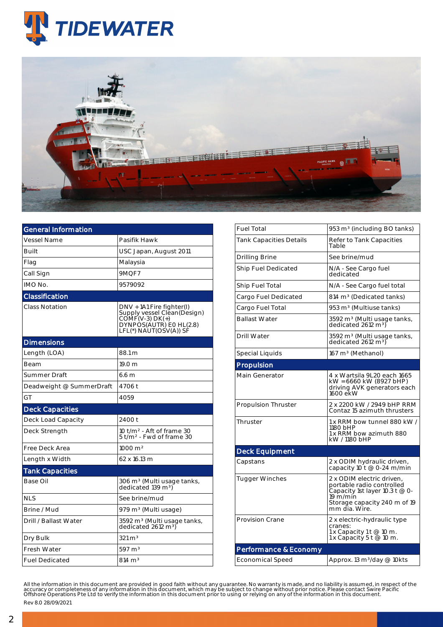



| <b>General Information</b> |                                                                                                                                    |  |  |  |  |
|----------------------------|------------------------------------------------------------------------------------------------------------------------------------|--|--|--|--|
| <b>Vessel Name</b>         | Pasifik Hawk                                                                                                                       |  |  |  |  |
| <b>Built</b>               | USC Japan, August 2011                                                                                                             |  |  |  |  |
| Flag                       | Malaysia                                                                                                                           |  |  |  |  |
| Call Sign                  | 9MOF7                                                                                                                              |  |  |  |  |
| IMO No.                    | 9579092                                                                                                                            |  |  |  |  |
| Classification             |                                                                                                                                    |  |  |  |  |
| Class Notation             | DNV + 1A1 Fire fighter(I)<br>Supply vessel Clean(Design)<br>$COMF(V-3) DK(+)$<br>DYNPOS(ÁUTR) EO HL(2.8)<br>LFL(*) NAUT(OŚV(A)) SF |  |  |  |  |
| <b>Dimensions</b>          |                                                                                                                                    |  |  |  |  |
| Length (LOA)               | 88.1 m                                                                                                                             |  |  |  |  |
| Beam                       | 19.0 m                                                                                                                             |  |  |  |  |
| Summer Draft               | 6.6 m                                                                                                                              |  |  |  |  |
| Deadweight @ SummerDraft   | 4706 t                                                                                                                             |  |  |  |  |
| GT                         | 4059                                                                                                                               |  |  |  |  |
| <b>Deck Capacities</b>     |                                                                                                                                    |  |  |  |  |
| Deck Load Capacity         | 2400 t                                                                                                                             |  |  |  |  |
| Deck Strength              | 10 $t/m2$ - Aft of frame 30<br>5 t/m <sup>2</sup> - Fwd of frame 30                                                                |  |  |  |  |
| Free Deck Area             | 1000 m <sup>2</sup>                                                                                                                |  |  |  |  |
| Length x Width             | 62 x 16.13 m                                                                                                                       |  |  |  |  |
| <b>Tank Capacities</b>     |                                                                                                                                    |  |  |  |  |
| Base Oil                   | 306 m <sup>3</sup> (Multi usage tanks,<br>dedicated 139 $\text{m}^{3}$ )                                                           |  |  |  |  |
| <b>NLS</b>                 | See brine/mud                                                                                                                      |  |  |  |  |
| Brine / Mud                | 979 m <sup>3</sup> (Multi usage)                                                                                                   |  |  |  |  |
| Drill / Ballast Water      | 3592 m <sup>3</sup> (Multi usage tanks,<br>dedicated 2612 m <sup>3</sup> )                                                         |  |  |  |  |
| Dry Bulk                   | $321 \text{ m}^3$                                                                                                                  |  |  |  |  |
| <b>Fresh Water</b>         | $597 \text{ m}^3$                                                                                                                  |  |  |  |  |
| <b>Fuel Dedicated</b>      | $814 \; \mathrm{m}^3$                                                                                                              |  |  |  |  |

| <b>Fuel Total</b>              | 953 m <sup>3</sup> (including BO tanks)                                                                                                               |
|--------------------------------|-------------------------------------------------------------------------------------------------------------------------------------------------------|
| <b>Tank Capacities Details</b> | Refer to Tank Capacities<br>Table                                                                                                                     |
| Drilling Brine                 | See brine/mud                                                                                                                                         |
| <b>Ship Fuel Dedicated</b>     | N/A - See Cargo fuel<br>dedicated                                                                                                                     |
| Ship Fuel Total                | N/A - See Cargo fuel total                                                                                                                            |
| Cargo Fuel Dedicated           | 814 m <sup>3</sup> (Dedicated tanks)                                                                                                                  |
| Cargo Fuel Total               | 953 m <sup>3</sup> (Multiuse tanks)                                                                                                                   |
| <b>Ballast Water</b>           | 3592 m <sup>3</sup> (Multi usage tanks,<br>dedicated 2612 m <sup>3</sup> )                                                                            |
| Drill Water                    | 3592 m <sup>3</sup> (Multi usage tanks,<br>dedicated 2612 m <sup>3</sup> )                                                                            |
| Special Liquids                | 167 m <sup>3</sup> (Methanol)                                                                                                                         |
| Propulsion                     |                                                                                                                                                       |
| Main Generator                 | 4 x Wartsila 9L20 each 1665<br>kW = 6660 kW (8927 bHP)<br>driving AVK generators each<br>1600 ekW                                                     |
| <b>Propulsion Thruster</b>     | 2 x 2200 kW / 2949 bHP RRM<br>Contaz 15 azimuth thrusters                                                                                             |
| Thruster                       | 1 x RRM bow tunnel 880 kW /<br>1180 bHP<br>1 x RRM bow azimuth 880<br>kW / 1180 bHP                                                                   |
| <b>Deck Equipment</b>          |                                                                                                                                                       |
| Capstans                       | 2 x ODIM hydraulic driven,<br>capacity 10 t @ 0-24 m/min                                                                                              |
| <b>Tugger Winches</b>          | 2 x ODIM electric driven,<br>portable radio controlled<br>Capacity 1st layer 10.3 t @ 0-<br>19 m/min<br>Storage capacity 240 m of 19<br>mm dia. Wire. |
| <b>Provision Crane</b>         | 2 x electric-hydraulic type<br>cranes:<br>1 x Capacity 1 t @ 10 m.<br>1 x Capacity 5 t @ 10 m.                                                        |
| Performance & Economy          |                                                                                                                                                       |
| <b>Economical Speed</b>        | Approx. 13 m <sup>3</sup> /day @ 10kts                                                                                                                |

All the information in this document are provided in good faith without any guarantee. No warranty is made, and no liability is assumed, in respect of the<br>accuracy or completeness of any information in this document, which Rev 8.0 28/09/2021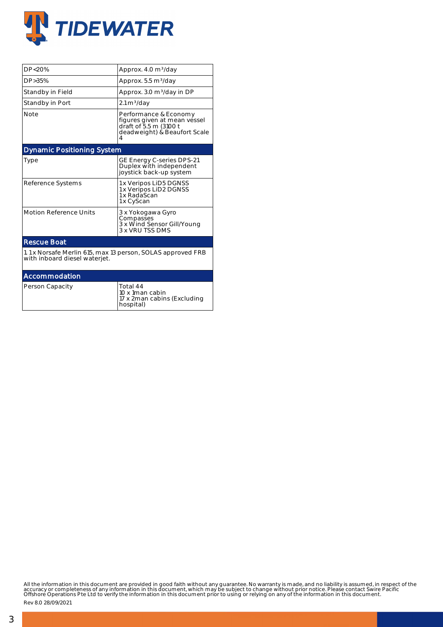

| DP<20%                                                                                       | Approx. 4.0 m <sup>3</sup> /day                                                                                      |  |  |  |  |  |
|----------------------------------------------------------------------------------------------|----------------------------------------------------------------------------------------------------------------------|--|--|--|--|--|
| $DP > 35\%$                                                                                  | Approx. 5.5 m <sup>3</sup> /day                                                                                      |  |  |  |  |  |
| Standby in Field                                                                             | Approx. 3.0 m <sup>3</sup> /day in DP                                                                                |  |  |  |  |  |
| Standby in Port                                                                              | $2.1 \text{ m}^3/\text{day}$                                                                                         |  |  |  |  |  |
| <b>Note</b>                                                                                  | Performance & Economy<br>figures given at mean vessel<br>draft of 5.5 m (3100 t<br>deadweight) & Beaufort Scale<br>4 |  |  |  |  |  |
| <b>Dynamic Positioning System</b>                                                            |                                                                                                                      |  |  |  |  |  |
| Type                                                                                         | GE Energy C-series DPS-21<br>Duplex with independent<br>joystick back-up system                                      |  |  |  |  |  |
| Reference Systems                                                                            | 1 x Veripos LiD5 DGNSS<br>1 x Veripos LiD2 DGNSS<br>1 x RadaScan<br>1 x CyScan                                       |  |  |  |  |  |
| <b>Motion Reference Units</b>                                                                | 3 x Yokogawa Gyro<br>Compasses<br>3 x Wind Sensor Gill/Young<br>3 x VRU TSS DMS                                      |  |  |  |  |  |
| <b>Rescue Boat</b>                                                                           |                                                                                                                      |  |  |  |  |  |
| 1.1 x Norsafe Merlin 615, max 13 person, SOLAS approved FRB<br>with inboard diesel waterjet. |                                                                                                                      |  |  |  |  |  |
| Accommodation                                                                                |                                                                                                                      |  |  |  |  |  |
| Person Capacity                                                                              | Total 44<br>10 x 1man cabin<br>17 x 2man cabins (Excluding<br>hospital)                                              |  |  |  |  |  |

All the information in this document are provided in good faith without any guarantee. No warranty is made, and no liability is assumed, in respect of the<br>accuracy or completeness of any information in this document, which

Rev 8.0 28/09/2021